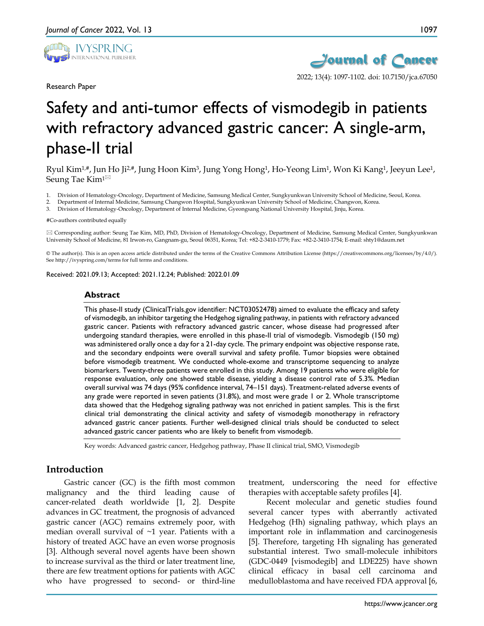

Research Paper



# Safety and anti-tumor effects of vismodegib in patients with refractory advanced gastric cancer: A single-arm, phase-II trial

Ryul Kim1,#, Jun Ho Ji2,#, Jung Hoon Kim3, Jung Yong Hong1, Ho-Yeong Lim1, Won Ki Kang1, Jeeyun Lee1, Seung Tae Kim<sup>1⊠</sup>

1. Division of Hematology-Oncology, Department of Medicine, Samsung Medical Center, Sungkyunkwan University School of Medicine, Seoul, Korea.

2. Department of Internal Medicine, Samsung Changwon Hospital, Sungkyunkwan University School of Medicine, Changwon, Korea.<br>3. Division of Hematology-Oncology. Department of Internal Medicine. Gyeongsang National Universit

3. Division of Hematology-Oncology, Department of Internal Medicine, Gyeongsang National University Hospital, Jinju, Korea.

#Co-authors contributed equally

 Corresponding author: Seung Tae Kim, MD, PhD, Division of Hematology-Oncology, Department of Medicine, Samsung Medical Center, Sungkyunkwan University School of Medicine, 81 Irwon-ro, Gangnam-gu, Seoul 06351, Korea; Tel: +82-2-3410-1779; Fax: +82-2-3410-1754; E-mail: shty1@daum.net

© The author(s). This is an open access article distributed under the terms of the Creative Commons Attribution License (https://creativecommons.org/licenses/by/4.0/). See http://ivyspring.com/terms for full terms and conditions.

Received: 2021.09.13; Accepted: 2021.12.24; Published: 2022.01.09

#### **Abstract**

This phase-II study (ClinicalTrials.gov identifier: NCT03052478) aimed to evaluate the efficacy and safety of vismodegib, an inhibitor targeting the Hedgehog signaling pathway, in patients with refractory advanced gastric cancer. Patients with refractory advanced gastric cancer, whose disease had progressed after undergoing standard therapies, were enrolled in this phase-II trial of vismodegib. Vismodegib (150 mg) was administered orally once a day for a 21-day cycle. The primary endpoint was objective response rate, and the secondary endpoints were overall survival and safety profile. Tumor biopsies were obtained before vismodegib treatment. We conducted whole-exome and transcriptome sequencing to analyze biomarkers. Twenty-three patients were enrolled in this study. Among 19 patients who were eligible for response evaluation, only one showed stable disease, yielding a disease control rate of 5.3%. Median overall survival was 74 days (95% confidence interval, 74–151 days). Treatment-related adverse events of any grade were reported in seven patients (31.8%), and most were grade 1 or 2. Whole transcriptome data showed that the Hedgehog signaling pathway was not enriched in patient samples. This is the first clinical trial demonstrating the clinical activity and safety of vismodegib monotherapy in refractory advanced gastric cancer patients. Further well-designed clinical trials should be conducted to select advanced gastric cancer patients who are likely to benefit from vismodegib.

Key words: Advanced gastric cancer, Hedgehog pathway, Phase II clinical trial, SMO, Vismodegib

# **Introduction**

Gastric cancer (GC) is the fifth most common malignancy and the third leading cause of cancer-related death worldwide [1, 2]. Despite advances in GC treatment, the prognosis of advanced gastric cancer (AGC) remains extremely poor, with median overall survival of  $\sim$ 1 year. Patients with a history of treated AGC have an even worse prognosis [3]. Although several novel agents have been shown to increase survival as the third or later treatment line, there are few treatment options for patients with AGC who have progressed to second- or third-line

treatment, underscoring the need for effective therapies with acceptable safety profiles [4].

Recent molecular and genetic studies found several cancer types with aberrantly activated Hedgehog (Hh) signaling pathway, which plays an important role in inflammation and carcinogenesis [5]. Therefore, targeting Hh signaling has generated substantial interest. Two small-molecule inhibitors (GDC-0449 [vismodegib] and LDE225) have shown clinical efficacy in basal cell carcinoma and medulloblastoma and have received FDA approval [6,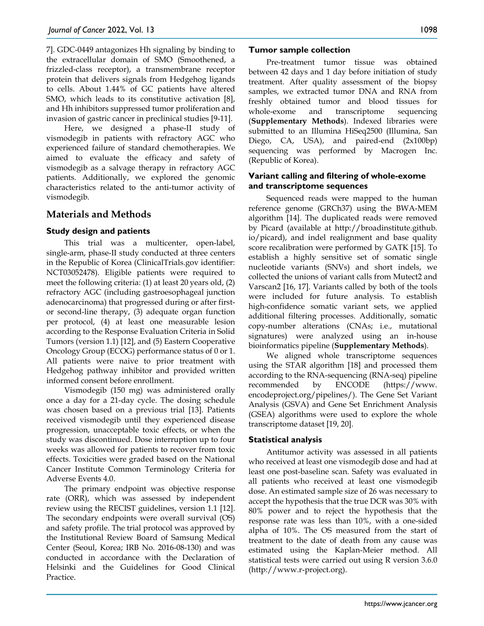7]. GDC-0449 antagonizes Hh signaling by binding to the extracellular domain of SMO (Smoothened, a frizzled-class receptor), a transmembrane receptor protein that delivers signals from Hedgehog ligands to cells. About 1.44% of GC patients have altered SMO, which leads to its constitutive activation [8], and Hh inhibitors suppressed tumor proliferation and invasion of gastric cancer in preclinical studies [9-11].

Here, we designed a phase-II study of vismodegib in patients with refractory AGC who experienced failure of standard chemotherapies. We aimed to evaluate the efficacy and safety of vismodegib as a salvage therapy in refractory AGC patients. Additionally, we explored the genomic characteristics related to the anti-tumor activity of vismodegib.

# **Materials and Methods**

## **Study design and patients**

This trial was a multicenter, open-label, single-arm, phase-II study conducted at three centers in the Republic of Korea (ClinicalTrials.gov identifier: NCT03052478). Eligible patients were required to meet the following criteria: (1) at least 20 years old, (2) refractory AGC (including gastroesophageal junction adenocarcinoma) that progressed during or after firstor second-line therapy, (3) adequate organ function per protocol, (4) at least one measurable lesion according to the Response Evaluation Criteria in Solid Tumors (version 1.1) [12], and (5) Eastern Cooperative Oncology Group (ECOG) performance status of 0 or 1. All patients were naive to prior treatment with Hedgehog pathway inhibitor and provided written informed consent before enrollment.

Vismodegib (150 mg) was administered orally once a day for a 21-day cycle. The dosing schedule was chosen based on a previous trial [13]. Patients received vismodegib until they experienced disease progression, unacceptable toxic effects, or when the study was discontinued. Dose interruption up to four weeks was allowed for patients to recover from toxic effects. Toxicities were graded based on the National Cancer Institute Common Terminology Criteria for Adverse Events 4.0.

The primary endpoint was objective response rate (ORR), which was assessed by independent review using the RECIST guidelines, version 1.1 [12]. The secondary endpoints were overall survival (OS) and safety profile. The trial protocol was approved by the Institutional Review Board of Samsung Medical Center (Seoul, Korea; IRB No. 2016-08-130) and was conducted in accordance with the Declaration of Helsinki and the Guidelines for Good Clinical Practice.

#### **Tumor sample collection**

Pre-treatment tumor tissue was obtained between 42 days and 1 day before initiation of study treatment. After quality assessment of the biopsy samples, we extracted tumor DNA and RNA from freshly obtained tumor and blood tissues for whole-exome and transcriptome sequencing (**Supplementary Methods**). Indexed libraries were submitted to an Illumina HiSeq2500 (Illumina, San Diego, CA, USA), and paired-end (2x100bp) sequencing was performed by Macrogen Inc. (Republic of Korea).

# **Variant calling and filtering of whole-exome and transcriptome sequences**

Sequenced reads were mapped to the human reference genome (GRCh37) using the BWA-MEM algorithm [14]. The duplicated reads were removed by Picard (available at http://broadinstitute.github. io/picard), and indel realignment and base quality score recalibration were performed by GATK [15]. To establish a highly sensitive set of somatic single nucleotide variants (SNVs) and short indels, we collected the unions of variant calls from Mutect2 and Varscan2 [16, 17]. Variants called by both of the tools were included for future analysis. To establish high-confidence somatic variant sets, we applied additional filtering processes. Additionally, somatic copy-number alterations (CNAs; i.e., mutational signatures) were analyzed using an in-house bioinformatics pipeline (**Supplementary Methods**).

We aligned whole transcriptome sequences using the STAR algorithm [18] and processed them according to the RNA-sequencing (RNA-seq) pipeline recommended by ENCODE (https://www. encodeproject.org/pipelines/). The Gene Set Variant Analysis (GSVA) and Gene Set Enrichment Analysis (GSEA) algorithms were used to explore the whole transcriptome dataset [19, 20].

#### **Statistical analysis**

Antitumor activity was assessed in all patients who received at least one vismodegib dose and had at least one post-baseline scan. Safety was evaluated in all patients who received at least one vismodegib dose. An estimated sample size of 26 was necessary to accept the hypothesis that the true DCR was 30% with 80% power and to reject the hypothesis that the response rate was less than 10%, with a one-sided alpha of 10%. The OS measured from the start of treatment to the date of death from any cause was estimated using the Kaplan-Meier method. All statistical tests were carried out using R version 3.6.0 (http://www.r-project.org).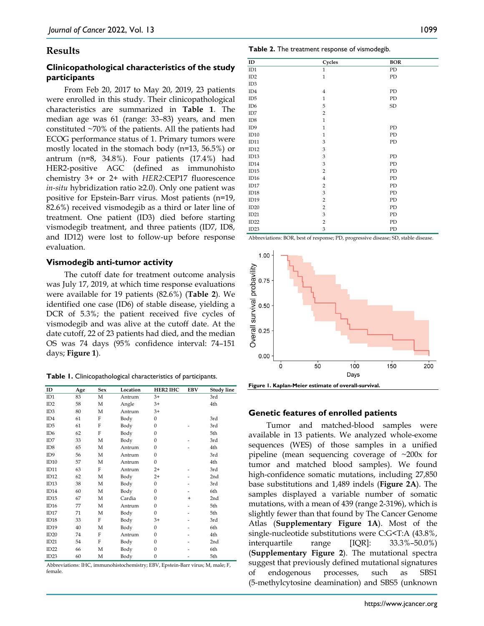#### **Results**

## **Clinicopathological characteristics of the study participants**

From Feb 20, 2017 to May 20, 2019, 23 patients were enrolled in this study. Their clinicopathological characteristics are summarized in **Table 1**. The median age was 61 (range: 33–83) years, and men constituted ~70% of the patients. All the patients had ECOG performance status of 1. Primary tumors were mostly located in the stomach body (n=13, 56.5%) or antrum (n=8, 34.8%). Four patients (17.4%) had HER2-positive AGC (defined as immunohisto chemistry 3+ or 2+ with *HER2*:CEP17 fluorescence *in-situ* hybridization ratio ≥2.0). Only one patient was positive for Epstein-Barr virus. Most patients (n=19, 82.6%) received vismodegib as a third or later line of treatment. One patient (ID3) died before starting vismodegib treatment, and three patients (ID7, ID8, and ID12) were lost to follow-up before response evaluation.

#### **Vismodegib anti-tumor activity**

The cutoff date for treatment outcome analysis was July 17, 2019, at which time response evaluations were available for 19 patients (82.6%) (**Table 2**). We identified one case (ID6) of stable disease, yielding a DCR of 5.3%; the patient received five cycles of vismodegib and was alive at the cutoff date. At the date cutoff, 22 of 23 patients had died, and the median OS was 74 days (95% confidence interval: 74–151 days; **Figure 1**).

**Table 1.** Clinicopathological characteristics of participants.

| ID              | Age | Sex | Location | <b>HER2 IHC</b>  | <b>EBV</b> | Study line |
|-----------------|-----|-----|----------|------------------|------------|------------|
| ID1             | 83  | М   | Antrum   | $3+$             |            | 3rd        |
| ID2             | 58  | M   | Angle    | $3+$             |            | 4th        |
| ID3             | 80  | M   | Antrum   | $3+$             |            |            |
| ID4             | 61  | F   | Body     | $\boldsymbol{0}$ |            | 3rd        |
| ID5             | 61  | F   | Body     | $\boldsymbol{0}$ |            | 3rd        |
| ID <sub>6</sub> | 62  | F   | Body     | $\mathbf{0}$     |            | 5th        |
| ID7             | 33  | M   | Body     | $\boldsymbol{0}$ |            | 3rd        |
| ID <sub>8</sub> | 65  | M   | Antrum   | $\Omega$         |            | 4th        |
| ID9             | 56  | M   | Antrum   | $\boldsymbol{0}$ |            | 3rd        |
| ID10            | 57  | M   | Antrum   | $\Omega$         |            | 4th        |
| ID11            | 63  | F   | Antrum   | $2+$             |            | 3rd        |
| ID12            | 62  | M   | Body     | $2+$             |            | 2nd        |
| ID13            | 38  | M   | Body     | $\boldsymbol{0}$ |            | 3rd        |
| ID14            | 60  | М   | Body     | $\Omega$         |            | 6th        |
| ID15            | 67  | М   | Cardia   | $\boldsymbol{0}$ | $\ddot{}$  | 2nd        |
| ID16            | 77  | М   | Antrum   | $\Omega$         |            | 5th        |
| ID17            | 71  | M   | Body     | $\Omega$         |            | 5th        |
| ID18            | 33  | F   | Body     | $3+$             |            | 3rd        |
| ID19            | 40  | M   | Body     | $\mathbf{0}$     |            | 6th        |
| ID20            | 74  | F   | Antrum   | $\boldsymbol{0}$ |            | 4th        |
| ID21            | 54  | F   | Body     | $\Omega$         |            | 2nd        |
| ID22            | 66  | M   | Body     | $\boldsymbol{0}$ |            | 6th        |
| ID23            | 60  | М   | Body     | $\mathbf{0}$     |            | 5th        |

Abbreviations: IHC, immunohistochemistry; EBV, Epstein-Barr virus; M, male; F, female.

**Table 2.** The treatment response of vismodegib.

| ID              | Cycles         | <b>BOR</b> |
|-----------------|----------------|------------|
| ID1             | $\mathbf{1}$   | PD         |
| ID2             | $\mathbf{1}$   | PD         |
| ID3             |                |            |
| ID4             | $\bf{4}$       | PD         |
| ID <sub>5</sub> | $\mathbf{1}$   | PD         |
| ID <sub>6</sub> | 5              | ${\rm SD}$ |
| ID7             | $\overline{2}$ |            |
| ID8             | $\mathbf{1}$   |            |
| ID9             | $\mathbf{1}$   | PD         |
| ID10            | $\mathbf{1}$   | PD         |
| ID11            | 3              | PD         |
| ID12            | 3              |            |
| ID13            | 3              | PD         |
| ID14            | 3              | PD         |
| ID15            | $\overline{2}$ | PD         |
| ID16            | $\overline{4}$ | PD         |
| ID17            | $\overline{2}$ | PD         |
| ID18            | 3              | PD         |
| ID19            | $\overline{2}$ | PD         |
| ID20            | $\overline{2}$ | PD         |
| ID21            | 3              | PD         |
| ID22            | $\overline{2}$ | PD         |
| ID23            | 3              | PD         |

Abbreviations: BOR, best of response; PD, progressive disease; SD, stable disease.





#### **Genetic features of enrolled patients**

Tumor and matched-blood samples were available in 13 patients. We analyzed whole-exome sequences (WES) of those samples in a unified pipeline (mean sequencing coverage of ~200x for tumor and matched blood samples). We found high-confidence somatic mutations, including 27,850 base substitutions and 1,489 indels (**Figure 2A**). The samples displayed a variable number of somatic mutations, with a mean of 439 (range 2-3196), which is slightly fewer than that found by The Cancer Genome Atlas (**Supplementary Figure 1A**). Most of the single-nucleotide substitutions were C:G<T:A (43.8%, interquartile range [IQR]: 33.3%–50.0%) (**Supplementary Figure 2**). The mutational spectra suggest that previously defined mutational signatures of endogenous processes, such as SBS1 (5-methylcytosine deamination) and SBS5 (unknown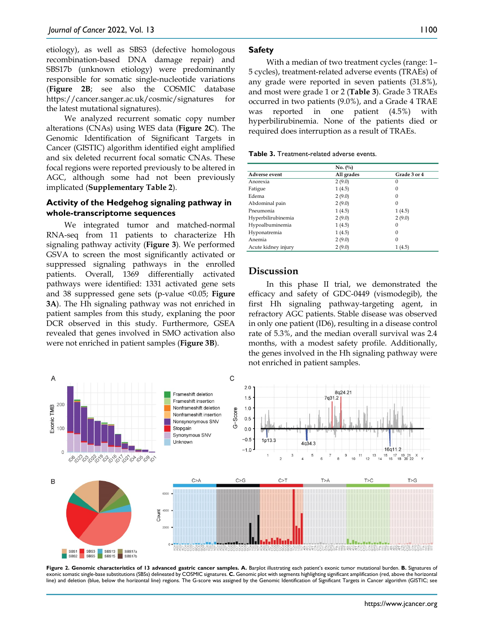etiology), as well as SBS3 (defective homologous recombination-based DNA damage repair) and SBS17b (unknown etiology) were predominantly responsible for somatic single-nucleotide variations (**Figure 2B**; see also the COSMIC database https://cancer.sanger.ac.uk/cosmic/signatures for the latest mutational signatures).

We analyzed recurrent somatic copy number alterations (CNAs) using WES data (**Figure 2C**). The Genomic Identification of Significant Targets in Cancer (GISTIC) algorithm identified eight amplified and six deleted recurrent focal somatic CNAs. These focal regions were reported previously to be altered in AGC, although some had not been previously implicated (**Supplementary Table 2**).

## **Activity of the Hedgehog signaling pathway in whole-transcriptome sequences**

We integrated tumor and matched-normal RNA-seq from 11 patients to characterize Hh signaling pathway activity (**Figure 3**). We performed GSVA to screen the most significantly activated or suppressed signaling pathways in the enrolled patients. Overall, 1369 differentially activated pathways were identified: 1331 activated gene sets and 38 suppressed gene sets (p-value <0.05; **Figure 3A**). The Hh signaling pathway was not enriched in patient samples from this study, explaning the poor DCR observed in this study. Furthermore, GSEA revealed that genes involved in SMO activation also were not enriched in patient samples (**Figure 3B**).

With a median of two treatment cycles (range: 1– 5 cycles), treatment-related adverse events (TRAEs) of any grade were reported in seven patients (31.8%), and most were grade 1 or 2 (**Table 3**). Grade 3 TRAEs occurred in two patients (9.0%), and a Grade 4 TRAE was reported in one patient (4.5%) with hyperbilirubinemia. None of the patients died or required does interruption as a result of TRAEs.

**Table 3.** Treatment-related adverse events.

|                     | No. $(\%)$ |              |
|---------------------|------------|--------------|
| Adverse event       | All grades | Grade 3 or 4 |
| Anorexia            | 2(9.0)     | 0            |
| Fatigue             | 1(4.5)     | 0            |
| Edema               | 2(9.0)     | 0            |
| Abdominal pain      | 2(9.0)     | 0            |
| Pneumonia           | 1(4.5)     | 1(4.5)       |
| Hyperbilirubinemia  | 2(9.0)     | 2(9.0)       |
| Hypoalbuminemia     | 1(4.5)     | 0            |
| Hyponatremia        | 1(4.5)     | 0            |
| Anemia              | 2(9.0)     | 0            |
| Acute kidney injury | 2(9.0)     | 1(4.5)       |

# **Discussion**

In this phase II trial, we demonstrated the efficacy and safety of GDC-0449 (vismodegib), the first Hh signaling pathway-targeting agent, in refractory AGC patients. Stable disease was observed in only one patient (ID6), resulting in a disease control rate of 5.3%, and the median overall survival was 2.4 months, with a modest safety profile. Additionally, the genes involved in the Hh signaling pathway were not enriched in patient samples.



Figure 2. Genomic characteristics of 13 advanced gastric cancer samples. A. Barplot illustrating each patient's exonic tumor mutational burden. B. Signatures of exonic somatic single-base substitutions (SBSs) delineated by COSMIC signatures. **C.** Genomic plot with segments highlighting significant amplification (red, above the horizontal line) and deletion (blue, below the horizontal line) regions. The G-score was assigned by the Genomic Identification of Significant Targets in Cancer algorithm (GISTIC; see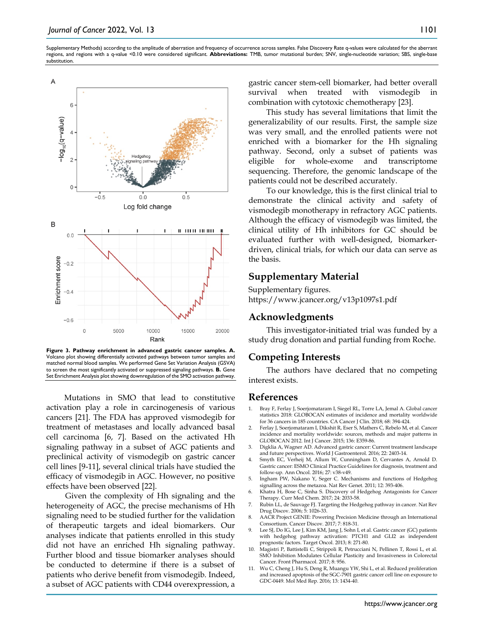Supplementary Methods) according to the amplitude of aberration and frequency of occurrence across samples. False Discovery Rate q-values were calculated for the aberrant regions, and regions with a q-value <0.10 were considered significant. **Abbreviations:** TMB, tumor mutational burden; SNV, single-nucleotide variation; SBS, single-base substitution.



**Figure 3. Pathway enrichment in advanced gastric cancer samples. A.** Volcano plot showing differentially activated pathways between tumor samples and matched normal blood samples. We performed Gene Set Variation Analysis (GSVA) to screen the most significantly activated or suppressed signaling pathways. **B.** Gene Set Enrichment Analysis plot showing downregulation of the SMO activation pathway.

Mutations in SMO that lead to constitutive activation play a role in carcinogenesis of various cancers [21]. The FDA has approved vismodegib for treatment of metastases and locally advanced basal cell carcinoma [6, 7]. Based on the activated Hh signaling pathway in a subset of AGC patients and preclinical activity of vismodegib on gastric cancer cell lines [9-11], several clinical trials have studied the efficacy of vismodegib in AGC. However, no positive effects have been observed [22].

Given the complexity of Hh signaling and the heterogeneity of AGC, the precise mechanisms of Hh signaling need to be studied further for the validation of therapeutic targets and ideal biomarkers. Our analyses indicate that patients enrolled in this study did not have an enriched Hh signaling pathway. Further blood and tissue biomarker analyses should be conducted to determine if there is a subset of patients who derive benefit from vismodegib. Indeed, a subset of AGC patients with CD44 overexpression, a

gastric cancer stem-cell biomarker, had better overall survival when treated with vismodegib in combination with cytotoxic chemotherapy [23].

This study has several limitations that limit the generalizability of our results. First, the sample size was very small, and the enrolled patients were not enriched with a biomarker for the Hh signaling pathway. Second, only a subset of patients was eligible for whole-exome and transcriptome sequencing. Therefore, the genomic landscape of the patients could not be described accurately.

To our knowledge, this is the first clinical trial to demonstrate the clinical activity and safety of vismodegib monotherapy in refractory AGC patients. Although the efficacy of vismodegib was limited, the clinical utility of Hh inhibitors for GC should be evaluated further with well-designed, biomarkerdriven, clinical trials, for which our data can serve as the basis.

# **Supplementary Material**

Supplementary figures. https://www.jcancer.org/v13p1097s1.pdf

# **Acknowledgments**

This investigator-initiated trial was funded by a study drug donation and partial funding from Roche.

# **Competing Interests**

The authors have declared that no competing interest exists.

#### **References**

- 1. Bray F, Ferlay J, Soerjomataram I, Siegel RL, Torre LA, Jemal A. Global cancer statistics 2018: GLOBOCAN estimates of incidence and mortality worldwide for 36 cancers in 185 countries. CA Cancer J Clin. 2018; 68: 394-424.
- 2. Ferlay J, Soerjomataram I, Dikshit R, Eser S, Mathers C, Rebelo M, et al. Cancer incidence and mortality worldwide: sources, methods and major patterns in GLOBOCAN 2012. Int J Cancer. 2015; 136: E359-86.
- 3. Digklia A, Wagner AD. Advanced gastric cancer: Current treatment landscape and future perspectives. World J Gastroenterol. 2016; 22: 2403-14.
- 4. Smyth EC, Verheij M, Allum W, Cunningham D, Cervantes A, Arnold D. Gastric cancer: ESMO Clinical Practice Guidelines for diagnosis, treatment and follow-up. Ann Oncol. 2016; 27: v38-v49.
- 5. Ingham PW, Nakano Y, Seger C. Mechanisms and functions of Hedgehog signalling across the metazoa. Nat Rev Genet. 2011; 12: 393-406.
- 6. Khatra H, Bose C, Sinha S. Discovery of Hedgehog Antagonists for Cancer Therapy. Curr Med Chem. 2017; 24: 2033-58.
- 7. Rubin LL, de Sauvage FJ. Targeting the Hedgehog pathway in cancer. Nat Rev Drug Discov. 2006; 5: 1026-33.
- 8. AACR Project GENIE: Powering Precision Medicine through an International Consortium. Cancer Discov. 2017; 7: 818-31.
- 9. Lee SJ, Do IG, Lee J, Kim KM, Jang J, Sohn I, et al. Gastric cancer (GC) patients with hedgehog pathway activation: PTCH1 and GLI2 as independent prognostic factors. Target Oncol. 2013; 8: 271-80.
- 10. Magistri P, Battistelli C, Strippoli R, Petrucciani N, Pellinen T, Rossi L, et al. SMO Inhibition Modulates Cellular Plasticity and Invasiveness in Colorectal Cancer. Front Pharmacol. 2017; 8: 956.
- 11. Wu C, Cheng J, Hu S, Deng R, Muangu YW, Shi L, et al. Reduced proliferation and increased apoptosis of the SGC‑7901 gastric cancer cell line on exposure to GDC‑0449. Mol Med Rep. 2016; 13: 1434-40.